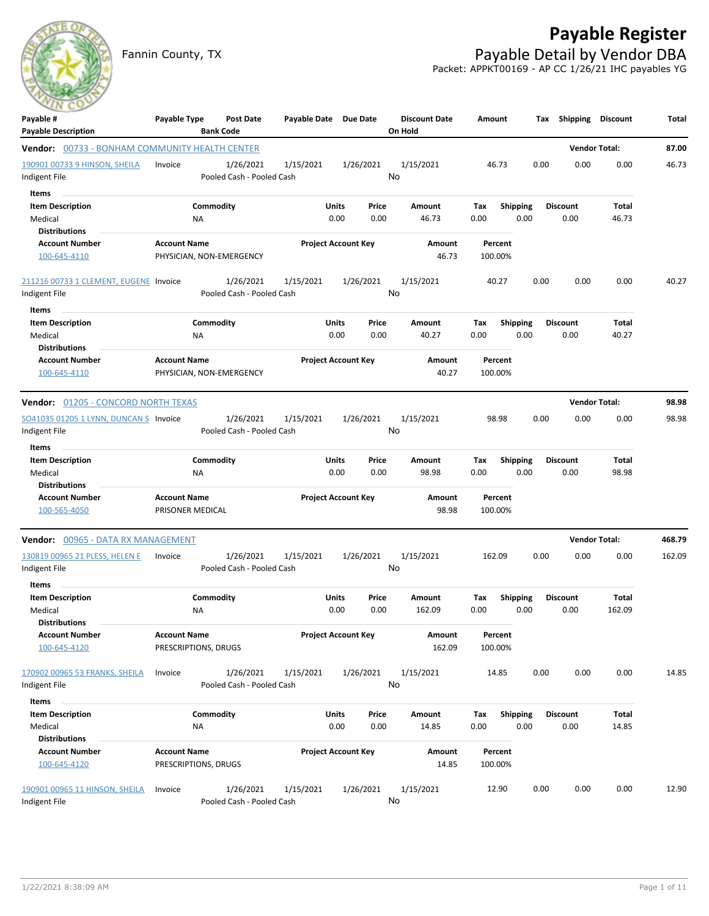## **Payable Register**

Fannin County, TX **Payable Detail by Vendor DBA** Packet: APPKT00169 - AP CC 1/26/21 IHC payables YG



| Payable #<br><b>Payable Description</b>               | Payable Type                                    | Post Date<br><b>Bank Code</b>          | Payable Date Due Date |                            |       | <b>Discount Date</b><br>On Hold | Amount             |                 |      | Tax Shipping Discount |        | Total  |
|-------------------------------------------------------|-------------------------------------------------|----------------------------------------|-----------------------|----------------------------|-------|---------------------------------|--------------------|-----------------|------|-----------------------|--------|--------|
| <b>Vendor:</b> 00733 - BONHAM COMMUNITY HEALTH CENTER |                                                 |                                        |                       |                            |       |                                 |                    |                 |      | <b>Vendor Total:</b>  |        | 87.00  |
| 190901 00733 9 HINSON, SHEILA                         | Invoice                                         | 1/26/2021                              | 1/15/2021             | 1/26/2021                  |       | 1/15/2021                       | 46.73              |                 | 0.00 | 0.00                  | 0.00   | 46.73  |
| Indigent File                                         |                                                 | Pooled Cash - Pooled Cash              |                       |                            |       | No                              |                    |                 |      |                       |        |        |
| Items                                                 |                                                 |                                        |                       |                            |       |                                 |                    |                 |      |                       |        |        |
| <b>Item Description</b>                               |                                                 | Commodity                              |                       | Units                      | Price | Amount                          | Tax                | <b>Shipping</b> |      | <b>Discount</b>       | Total  |        |
| Medical                                               | NA                                              |                                        |                       | 0.00                       | 0.00  | 46.73                           | 0.00               | 0.00            |      | 0.00                  | 46.73  |        |
| <b>Distributions</b>                                  |                                                 |                                        |                       |                            |       |                                 |                    |                 |      |                       |        |        |
| <b>Account Number</b>                                 | <b>Account Name</b>                             |                                        |                       | <b>Project Account Key</b> |       | Amount                          | Percent            |                 |      |                       |        |        |
| 100-645-4110                                          | PHYSICIAN, NON-EMERGENCY                        |                                        |                       |                            |       | 46.73                           | 100.00%            |                 |      |                       |        |        |
| 211216 00733 1 CLEMENT, EUGENE Invoice                |                                                 | 1/26/2021                              | 1/15/2021             | 1/26/2021                  |       | 1/15/2021                       | 40.27              |                 | 0.00 | 0.00                  | 0.00   | 40.27  |
| Indigent File                                         |                                                 | Pooled Cash - Pooled Cash              |                       |                            |       | No                              |                    |                 |      |                       |        |        |
| Items                                                 |                                                 |                                        |                       |                            |       |                                 |                    |                 |      |                       |        |        |
| <b>Item Description</b>                               |                                                 | Commodity                              |                       | Units                      | Price | Amount                          | Tax                | <b>Shipping</b> |      | <b>Discount</b>       | Total  |        |
| Medical                                               | ΝA                                              |                                        |                       | 0.00                       | 0.00  | 40.27                           | 0.00               | 0.00            |      | 0.00                  | 40.27  |        |
| <b>Distributions</b>                                  |                                                 |                                        |                       |                            |       |                                 |                    |                 |      |                       |        |        |
| <b>Account Number</b><br>100-645-4110                 | <b>Account Name</b><br>PHYSICIAN, NON-EMERGENCY |                                        |                       | <b>Project Account Key</b> |       | Amount<br>40.27                 | Percent<br>100.00% |                 |      |                       |        |        |
| <b>Vendor: 01205 - CONCORD NORTH TEXAS</b>            |                                                 |                                        |                       |                            |       |                                 |                    |                 |      | <b>Vendor Total:</b>  |        | 98.98  |
| SO41035 01205 1 LYNN, DUNCAN S Invoice                |                                                 | 1/26/2021                              | 1/15/2021             | 1/26/2021                  |       | 1/15/2021                       | 98.98              |                 | 0.00 | 0.00                  | 0.00   | 98.98  |
| Indigent File                                         |                                                 | Pooled Cash - Pooled Cash              |                       |                            |       | No                              |                    |                 |      |                       |        |        |
| Items                                                 |                                                 |                                        |                       |                            |       |                                 |                    |                 |      |                       |        |        |
| <b>Item Description</b>                               |                                                 | Commodity                              |                       | Units                      | Price | Amount                          | Tax                | <b>Shipping</b> |      | <b>Discount</b>       | Total  |        |
| Medical                                               | NA                                              |                                        |                       | 0.00                       | 0.00  | 98.98                           | 0.00               | 0.00            |      | 0.00                  | 98.98  |        |
| <b>Distributions</b><br><b>Account Number</b>         | <b>Account Name</b>                             |                                        |                       | <b>Project Account Key</b> |       | Amount                          | Percent            |                 |      |                       |        |        |
| 100-565-4050                                          | PRISONER MEDICAL                                |                                        |                       |                            |       | 98.98                           | 100.00%            |                 |      |                       |        |        |
| Vendor: 00965 - DATA RX MANAGEMENT                    |                                                 |                                        |                       |                            |       |                                 |                    |                 |      | <b>Vendor Total:</b>  |        | 468.79 |
| 130819 00965 21 PLESS, HELEN E                        | Invoice                                         | 1/26/2021                              | 1/15/2021             | 1/26/2021                  |       | 1/15/2021                       | 162.09             |                 | 0.00 | 0.00                  | 0.00   | 162.09 |
| Indigent File                                         |                                                 | Pooled Cash - Pooled Cash              |                       |                            |       | No                              |                    |                 |      |                       |        |        |
| Items                                                 |                                                 |                                        |                       |                            |       |                                 |                    |                 |      |                       |        |        |
| <b>Item Description</b>                               |                                                 | Commodity                              |                       | Units                      | Price | <b>Amount</b>                   | Tax                | Shipping        |      | <b>Discount</b>       | Total  |        |
| Medical                                               | NA                                              |                                        |                       | 0.00                       | 0.00  | 162.09                          | 0.00               | 0.00            |      | 0.00                  | 162.09 |        |
| <b>Distributions</b>                                  |                                                 |                                        |                       |                            |       |                                 |                    |                 |      |                       |        |        |
| <b>Account Number</b>                                 | <b>Account Name</b>                             |                                        |                       | <b>Project Account Key</b> |       | Amount                          | Percent            |                 |      |                       |        |        |
| 100-645-4120                                          | PRESCRIPTIONS, DRUGS                            |                                        |                       |                            |       | 162.09                          | 100.00%            |                 |      |                       |        |        |
| 170902 00965 53 FRANKS, SHEILA                        | Invoice                                         | 1/26/2021                              | 1/15/2021             | 1/26/2021                  |       | 1/15/2021<br>No                 | 14.85              |                 | 0.00 | 0.00                  | 0.00   | 14.85  |
| Indigent File                                         |                                                 | Pooled Cash - Pooled Cash              |                       |                            |       |                                 |                    |                 |      |                       |        |        |
| Items                                                 |                                                 |                                        |                       |                            |       |                                 |                    |                 |      |                       |        |        |
| <b>Item Description</b>                               |                                                 | Commodity                              |                       | Units                      | Price | Amount                          | Tax                | <b>Shipping</b> |      | <b>Discount</b>       | Total  |        |
| Medical<br><b>Distributions</b>                       | NA                                              |                                        |                       | 0.00                       | 0.00  | 14.85                           | 0.00               | 0.00            |      | 0.00                  | 14.85  |        |
| <b>Account Number</b>                                 | <b>Account Name</b>                             |                                        |                       | <b>Project Account Key</b> |       | Amount                          | Percent            |                 |      |                       |        |        |
| 100-645-4120                                          | PRESCRIPTIONS, DRUGS                            |                                        |                       |                            |       | 14.85                           | 100.00%            |                 |      |                       |        |        |
| 190901 00965 11 HINSON, SHEILA<br>Indigent File       | Invoice                                         | 1/26/2021<br>Pooled Cash - Pooled Cash | 1/15/2021             | 1/26/2021                  |       | 1/15/2021<br>No                 | 12.90              |                 | 0.00 | 0.00                  | 0.00   | 12.90  |
|                                                       |                                                 |                                        |                       |                            |       |                                 |                    |                 |      |                       |        |        |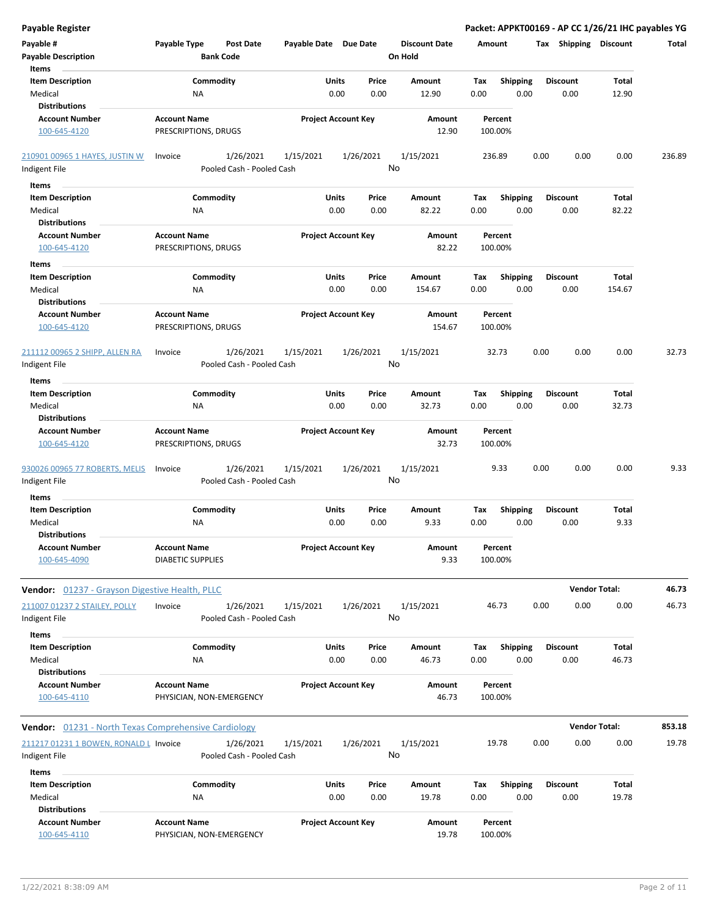| <b>Payable Register</b>                                     |                                             |                                        |                       |                            |                                 |             |                         |                 |                      | Packet: APPKT00169 - AP CC 1/26/21 IHC payables YG |        |
|-------------------------------------------------------------|---------------------------------------------|----------------------------------------|-----------------------|----------------------------|---------------------------------|-------------|-------------------------|-----------------|----------------------|----------------------------------------------------|--------|
| Payable #<br><b>Payable Description</b>                     | Payable Type                                | Post Date<br><b>Bank Code</b>          | Payable Date Due Date |                            | <b>Discount Date</b><br>On Hold | Amount      |                         |                 |                      | Tax Shipping Discount                              | Total  |
| Items                                                       |                                             |                                        |                       |                            |                                 |             |                         |                 |                      |                                                    |        |
| <b>Item Description</b><br>Medical                          | <b>NA</b>                                   | Commodity                              | Units                 | Price<br>0.00<br>0.00      | Amount<br>12.90                 | Tax<br>0.00 | <b>Shipping</b><br>0.00 | <b>Discount</b> | 0.00                 | Total<br>12.90                                     |        |
| <b>Distributions</b>                                        |                                             |                                        |                       |                            |                                 |             |                         |                 |                      |                                                    |        |
| <b>Account Number</b><br>100-645-4120                       | <b>Account Name</b><br>PRESCRIPTIONS, DRUGS |                                        |                       | <b>Project Account Key</b> | Amount<br>12.90                 | 100.00%     | Percent                 |                 |                      |                                                    |        |
| 210901 00965 1 HAYES, JUSTIN W                              | Invoice                                     | 1/26/2021                              | 1/15/2021             | 1/26/2021                  | 1/15/2021                       | 236.89      |                         | 0.00            | 0.00                 | 0.00                                               | 236.89 |
| Indigent File                                               |                                             | Pooled Cash - Pooled Cash              |                       |                            | No                              |             |                         |                 |                      |                                                    |        |
| Items                                                       |                                             |                                        |                       |                            |                                 |             |                         |                 |                      |                                                    |        |
| <b>Item Description</b>                                     |                                             | Commodity                              | Units                 | Price                      | Amount                          | Tax         | <b>Shipping</b>         | <b>Discount</b> |                      | Total                                              |        |
| Medical                                                     | ΝA                                          |                                        |                       | 0.00<br>0.00               | 82.22                           | 0.00        | 0.00                    |                 | 0.00                 | 82.22                                              |        |
| <b>Distributions</b>                                        |                                             |                                        |                       |                            |                                 |             |                         |                 |                      |                                                    |        |
| <b>Account Number</b>                                       | <b>Account Name</b>                         |                                        |                       | <b>Project Account Key</b> | Amount                          |             | Percent                 |                 |                      |                                                    |        |
| 100-645-4120                                                | PRESCRIPTIONS, DRUGS                        |                                        |                       |                            | 82.22                           | 100.00%     |                         |                 |                      |                                                    |        |
| Items                                                       |                                             |                                        |                       |                            |                                 |             |                         |                 |                      |                                                    |        |
| <b>Item Description</b>                                     |                                             | Commodity                              | Units                 | Price                      | Amount                          | Tax         | Shipping                | <b>Discount</b> |                      | Total                                              |        |
| Medical                                                     | <b>NA</b>                                   |                                        |                       | 0.00<br>0.00               | 154.67                          | 0.00        | 0.00                    |                 | 0.00                 | 154.67                                             |        |
| <b>Distributions</b>                                        |                                             |                                        |                       |                            |                                 |             |                         |                 |                      |                                                    |        |
| <b>Account Number</b><br>100-645-4120                       | <b>Account Name</b><br>PRESCRIPTIONS, DRUGS |                                        |                       | <b>Project Account Key</b> | Amount<br>154.67                | 100.00%     | Percent                 |                 |                      |                                                    |        |
| 211112 00965 2 SHIPP, ALLEN RA<br>Indigent File             | Invoice                                     | 1/26/2021<br>Pooled Cash - Pooled Cash | 1/15/2021             | 1/26/2021                  | 1/15/2021<br>No                 |             | 32.73                   | 0.00            | 0.00                 | 0.00                                               | 32.73  |
| Items                                                       |                                             |                                        |                       |                            |                                 |             |                         |                 |                      |                                                    |        |
| <b>Item Description</b>                                     |                                             | Commodity                              | Units                 | Price                      | Amount                          | Тах         | <b>Shipping</b>         | <b>Discount</b> |                      | Total                                              |        |
| Medical<br><b>Distributions</b>                             | <b>NA</b>                                   |                                        |                       | 0.00<br>0.00               | 32.73                           | 0.00        | 0.00                    |                 | 0.00                 | 32.73                                              |        |
| <b>Account Number</b><br>100-645-4120                       | <b>Account Name</b><br>PRESCRIPTIONS, DRUGS |                                        |                       | <b>Project Account Key</b> | Amount<br>32.73                 | 100.00%     | Percent                 |                 |                      |                                                    |        |
| 930026 00965 77 ROBERTS, MELIS<br>Indigent File             | Invoice                                     | 1/26/2021<br>Pooled Cash - Pooled Cash | 1/15/2021             | 1/26/2021                  | 1/15/2021<br>No                 |             | 9.33                    | 0.00            | 0.00                 | 0.00                                               | 9.33   |
| Items                                                       |                                             |                                        |                       |                            |                                 |             |                         |                 |                      |                                                    |        |
| <b>Item Description</b><br>Medical<br><b>Distributions</b>  | <b>NA</b>                                   | Commodity                              | Units                 | Price<br>0.00<br>0.00      | Amount<br>9.33                  | Tax<br>0.00 | <b>Shipping</b><br>0.00 | <b>Discount</b> | 0.00                 | Total<br>9.33                                      |        |
| <b>Account Number</b>                                       | <b>Account Name</b>                         |                                        |                       | <b>Project Account Key</b> | Amount                          |             | Percent                 |                 |                      |                                                    |        |
| 100-645-4090                                                | <b>DIABETIC SUPPLIES</b>                    |                                        |                       |                            | 9.33                            | 100.00%     |                         |                 |                      |                                                    |        |
| <b>Vendor:</b> 01237 - Grayson Digestive Health, PLLC       |                                             |                                        |                       |                            |                                 |             |                         |                 | <b>Vendor Total:</b> |                                                    | 46.73  |
| 211007 01237 2 STAILEY, POLLY<br>Indigent File              | Invoice                                     | 1/26/2021<br>Pooled Cash - Pooled Cash | 1/15/2021             | 1/26/2021                  | 1/15/2021<br>No                 |             | 46.73                   | 0.00            | 0.00                 | 0.00                                               | 46.73  |
| <b>Items</b>                                                |                                             |                                        |                       |                            |                                 |             |                         |                 |                      |                                                    |        |
| <b>Item Description</b><br>Medical                          | <b>NA</b>                                   | Commodity                              | Units                 | Price<br>0.00<br>0.00      | Amount<br>46.73                 | Tax<br>0.00 | <b>Shipping</b><br>0.00 | <b>Discount</b> | 0.00                 | Total<br>46.73                                     |        |
| <b>Distributions</b>                                        |                                             |                                        |                       |                            |                                 |             |                         |                 |                      |                                                    |        |
| <b>Account Number</b><br>100-645-4110                       | <b>Account Name</b>                         | PHYSICIAN, NON-EMERGENCY               |                       | <b>Project Account Key</b> | Amount<br>46.73                 | 100.00%     | Percent                 |                 |                      |                                                    |        |
| <b>Vendor:</b> 01231 - North Texas Comprehensive Cardiology |                                             |                                        |                       |                            |                                 |             |                         |                 | <b>Vendor Total:</b> |                                                    | 853.18 |
| 211217 01231 1 BOWEN, RONALD L Invoice                      |                                             | 1/26/2021                              | 1/15/2021             | 1/26/2021                  | 1/15/2021                       |             | 19.78                   | 0.00            | 0.00                 | 0.00                                               | 19.78  |
| Indigent File                                               |                                             | Pooled Cash - Pooled Cash              |                       |                            | No                              |             |                         |                 |                      |                                                    |        |
| <b>Items</b>                                                |                                             |                                        |                       |                            |                                 |             |                         |                 |                      |                                                    |        |
| <b>Item Description</b>                                     |                                             | Commodity                              | Units                 | Price                      | Amount                          | Tax         | <b>Shipping</b>         | <b>Discount</b> |                      | Total                                              |        |
| Medical<br><b>Distributions</b>                             | <b>NA</b>                                   |                                        |                       | 0.00<br>0.00               | 19.78                           | 0.00        | 0.00                    |                 | 0.00                 | 19.78                                              |        |
| <b>Account Number</b><br>100-645-4110                       | <b>Account Name</b>                         | PHYSICIAN, NON-EMERGENCY               |                       | <b>Project Account Key</b> | Amount<br>19.78                 | 100.00%     | Percent                 |                 |                      |                                                    |        |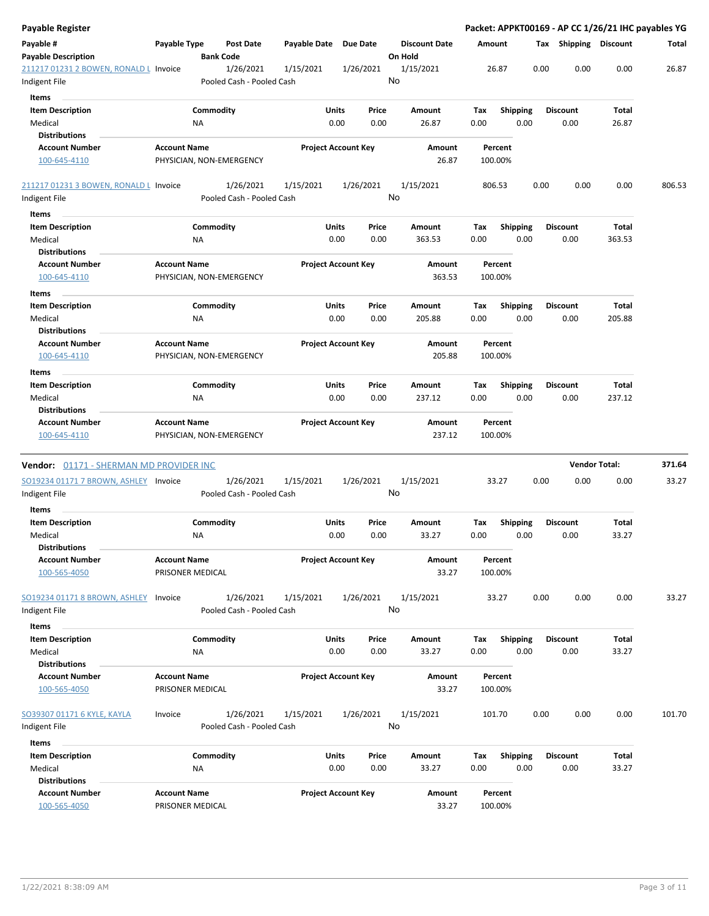| <b>Payable Register</b>                                 |                     |                 |                                        |              |                                |    |                                 |             |                    |      |      |                         | Packet: APPKT00169 - AP CC 1/26/21 IHC payables YG |        |
|---------------------------------------------------------|---------------------|-----------------|----------------------------------------|--------------|--------------------------------|----|---------------------------------|-------------|--------------------|------|------|-------------------------|----------------------------------------------------|--------|
| Payable #<br><b>Payable Description</b>                 | Payable Type        |                 | <b>Post Date</b><br><b>Bank Code</b>   | Payable Date | Due Date                       |    | <b>Discount Date</b><br>On Hold | Amount      |                    |      |      |                         | Tax Shipping Discount                              | Total  |
| 211217 01231 2 BOWEN, RONALD L Invoice<br>Indigent File |                     |                 | 1/26/2021<br>Pooled Cash - Pooled Cash | 1/15/2021    | 1/26/2021                      | No | 1/15/2021                       |             | 26.87              |      | 0.00 | 0.00                    | 0.00                                               | 26.87  |
| Items                                                   |                     |                 |                                        |              |                                |    |                                 |             |                    |      |      |                         |                                                    |        |
| <b>Item Description</b>                                 |                     | Commodity       |                                        |              | Units<br>Price                 |    | Amount                          | Tax         | <b>Shipping</b>    |      |      | <b>Discount</b>         | Total                                              |        |
| Medical                                                 |                     | NA              |                                        |              | 0.00<br>0.00                   |    | 26.87                           | 0.00        |                    | 0.00 |      | 0.00                    | 26.87                                              |        |
| <b>Distributions</b>                                    |                     |                 |                                        |              |                                |    |                                 |             |                    |      |      |                         |                                                    |        |
| <b>Account Number</b>                                   | <b>Account Name</b> |                 |                                        |              | <b>Project Account Key</b>     |    | Amount                          |             | Percent            |      |      |                         |                                                    |        |
| 100-645-4110                                            |                     |                 | PHYSICIAN, NON-EMERGENCY               |              |                                |    | 26.87                           |             | 100.00%            |      |      |                         |                                                    |        |
| 211217 01231 3 BOWEN, RONALD L Invoice                  |                     |                 | 1/26/2021                              | 1/15/2021    | 1/26/2021                      |    | 1/15/2021                       |             | 806.53             |      | 0.00 | 0.00                    | 0.00                                               | 806.53 |
| Indigent File                                           |                     |                 | Pooled Cash - Pooled Cash              |              |                                | No |                                 |             |                    |      |      |                         |                                                    |        |
| Items                                                   |                     |                 |                                        |              |                                |    |                                 |             |                    |      |      |                         |                                                    |        |
| <b>Item Description</b>                                 |                     | Commodity       |                                        |              | Units<br>Price                 |    | Amount                          | Tax         | Shipping           |      |      | <b>Discount</b>         | Total                                              |        |
| Medical                                                 |                     | ΝA              |                                        |              | 0.00<br>0.00                   |    | 363.53                          | 0.00        |                    | 0.00 |      | 0.00                    | 363.53                                             |        |
| <b>Distributions</b>                                    |                     |                 |                                        |              |                                |    |                                 |             |                    |      |      |                         |                                                    |        |
| <b>Account Number</b><br>100-645-4110                   | <b>Account Name</b> |                 | PHYSICIAN, NON-EMERGENCY               |              | <b>Project Account Key</b>     |    | Amount<br>363.53                |             | Percent<br>100.00% |      |      |                         |                                                    |        |
| Items                                                   |                     |                 |                                        |              |                                |    |                                 |             |                    |      |      |                         |                                                    |        |
| <b>Item Description</b><br>Medical                      |                     | Commodity<br>NA |                                        |              | Units<br>Price<br>0.00<br>0.00 |    | Amount<br>205.88                | Tax<br>0.00 | Shipping           | 0.00 |      | <b>Discount</b><br>0.00 | Total<br>205.88                                    |        |
| <b>Distributions</b>                                    |                     |                 |                                        |              |                                |    |                                 |             |                    |      |      |                         |                                                    |        |
| <b>Account Number</b>                                   | <b>Account Name</b> |                 |                                        |              | <b>Project Account Key</b>     |    | Amount                          |             | Percent            |      |      |                         |                                                    |        |
| 100-645-4110                                            |                     |                 | PHYSICIAN, NON-EMERGENCY               |              |                                |    | 205.88                          |             | 100.00%            |      |      |                         |                                                    |        |
| Items                                                   |                     |                 |                                        |              |                                |    |                                 |             |                    |      |      |                         |                                                    |        |
| <b>Item Description</b>                                 |                     | Commodity       |                                        |              | Units<br>Price                 |    | Amount                          | Tax         | <b>Shipping</b>    |      |      | <b>Discount</b>         | Total                                              |        |
| Medical                                                 |                     | ΝA              |                                        |              | 0.00<br>0.00                   |    | 237.12                          | 0.00        |                    | 0.00 |      | 0.00                    | 237.12                                             |        |
| <b>Distributions</b>                                    |                     |                 |                                        |              |                                |    |                                 |             |                    |      |      |                         |                                                    |        |
| <b>Account Number</b><br>100-645-4110                   | <b>Account Name</b> |                 | PHYSICIAN, NON-EMERGENCY               |              | <b>Project Account Key</b>     |    | Amount<br>237.12                |             | Percent<br>100.00% |      |      |                         |                                                    |        |
| Vendor: 01171 - SHERMAN MD PROVIDER INC                 |                     |                 |                                        |              |                                |    |                                 |             |                    |      |      | <b>Vendor Total:</b>    |                                                    | 371.64 |
| SO19234 01171 7 BROWN, ASHLEY Invoice                   |                     |                 | 1/26/2021                              | 1/15/2021    | 1/26/2021                      |    | 1/15/2021                       |             | 33.27              |      | 0.00 | 0.00                    | 0.00                                               | 33.27  |
| Indigent File                                           |                     |                 | Pooled Cash - Pooled Cash              |              |                                | No |                                 |             |                    |      |      |                         |                                                    |        |
|                                                         |                     |                 |                                        |              |                                |    |                                 |             |                    |      |      |                         |                                                    |        |
| Items                                                   |                     |                 |                                        |              |                                |    |                                 |             |                    |      |      |                         |                                                    |        |
| <b>Item Description</b><br>Medical                      |                     | Commodity<br>ΝA |                                        |              | Units<br>Price<br>0.00<br>0.00 |    | Amount<br>33.27                 | Tax<br>0.00 | <b>Shipping</b>    | 0.00 |      | <b>Discount</b><br>0.00 | <b>Total</b><br>33.27                              |        |
| <b>Distributions</b>                                    |                     |                 |                                        |              |                                |    |                                 |             |                    |      |      |                         |                                                    |        |
| <b>Account Number</b>                                   | <b>Account Name</b> |                 |                                        |              | <b>Project Account Key</b>     |    | Amount                          |             | Percent            |      |      |                         |                                                    |        |
| 100-565-4050                                            | PRISONER MEDICAL    |                 |                                        |              |                                |    | 33.27                           |             | 100.00%            |      |      |                         |                                                    |        |
| SO19234 01171 8 BROWN, ASHLEY                           | Invoice             |                 | 1/26/2021                              | 1/15/2021    | 1/26/2021                      |    | 1/15/2021                       |             | 33.27              |      | 0.00 | 0.00                    | 0.00                                               | 33.27  |
| Indigent File                                           |                     |                 | Pooled Cash - Pooled Cash              |              |                                | No |                                 |             |                    |      |      |                         |                                                    |        |
| <b>Items</b>                                            |                     |                 |                                        |              |                                |    |                                 |             |                    |      |      |                         |                                                    |        |
| <b>Item Description</b>                                 |                     | Commodity       |                                        |              | Units<br>Price                 |    | Amount                          | Tax         | <b>Shipping</b>    |      |      | <b>Discount</b>         | Total                                              |        |
| Medical                                                 |                     | NA              |                                        |              | 0.00<br>0.00                   |    | 33.27                           | 0.00        |                    | 0.00 |      | 0.00                    | 33.27                                              |        |
| <b>Distributions</b>                                    |                     |                 |                                        |              |                                |    |                                 |             |                    |      |      |                         |                                                    |        |
| <b>Account Number</b>                                   | <b>Account Name</b> |                 |                                        |              | <b>Project Account Key</b>     |    | Amount                          |             | Percent            |      |      |                         |                                                    |        |
| 100-565-4050                                            | PRISONER MEDICAL    |                 |                                        |              |                                |    | 33.27                           |             | 100.00%            |      |      |                         |                                                    |        |
| SO39307 01171 6 KYLE, KAYLA                             | Invoice             |                 | 1/26/2021                              | 1/15/2021    | 1/26/2021                      |    | 1/15/2021                       |             | 101.70             |      | 0.00 | 0.00                    | 0.00                                               | 101.70 |
| Indigent File                                           |                     |                 | Pooled Cash - Pooled Cash              |              |                                | No |                                 |             |                    |      |      |                         |                                                    |        |
| Items                                                   |                     |                 |                                        |              |                                |    |                                 |             |                    |      |      |                         |                                                    |        |
| <b>Item Description</b>                                 |                     | Commodity       |                                        |              | Units<br>Price                 |    | Amount                          | Tax         | <b>Shipping</b>    |      |      | <b>Discount</b>         | Total                                              |        |
|                                                         |                     |                 |                                        |              |                                |    |                                 |             |                    |      |      |                         |                                                    |        |
| Medical                                                 |                     | NA              |                                        |              | 0.00<br>0.00                   |    | 33.27                           | 0.00        |                    |      |      |                         |                                                    |        |
| <b>Distributions</b>                                    |                     |                 |                                        |              |                                |    |                                 |             |                    | 0.00 |      | 0.00                    | 33.27                                              |        |
| <b>Account Number</b>                                   | <b>Account Name</b> |                 |                                        |              | <b>Project Account Key</b>     |    | Amount                          |             | Percent            |      |      |                         |                                                    |        |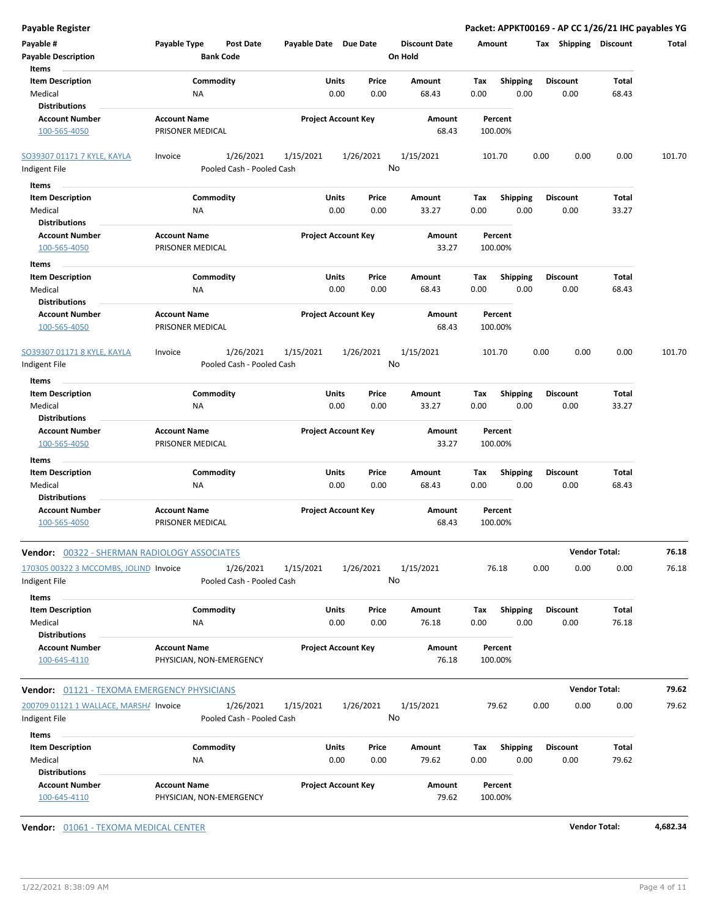| <b>Payable Register</b>                                       |                                                      |                                |                                 | Packet: APPKT00169 - AP CC 1/26/21 IHC payables YG |                         |                       |        |
|---------------------------------------------------------------|------------------------------------------------------|--------------------------------|---------------------------------|----------------------------------------------------|-------------------------|-----------------------|--------|
| Payable #<br><b>Payable Description</b>                       | Payable Type<br><b>Post Date</b><br><b>Bank Code</b> | Payable Date Due Date          | <b>Discount Date</b><br>On Hold | Amount                                             | Tax Shipping Discount   |                       | Total  |
| Items                                                         |                                                      |                                |                                 |                                                    |                         |                       |        |
| <b>Item Description</b>                                       | Commodity                                            | Units<br>Price                 | Amount                          | Tax<br><b>Shipping</b>                             | <b>Discount</b>         | <b>Total</b>          |        |
| Medical                                                       | <b>NA</b>                                            | 0.00<br>0.00                   | 68.43                           | 0.00<br>0.00                                       | 0.00                    | 68.43                 |        |
| <b>Distributions</b>                                          |                                                      |                                |                                 |                                                    |                         |                       |        |
| <b>Account Number</b><br>100-565-4050                         | <b>Account Name</b><br>PRISONER MEDICAL              | <b>Project Account Key</b>     | Amount<br>68.43                 | Percent<br>100.00%                                 |                         |                       |        |
| SO39307 01171 7 KYLE, KAYLA                                   | 1/26/2021<br>Invoice                                 | 1/26/2021<br>1/15/2021         | 1/15/2021                       | 101.70                                             | 0.00<br>0.00            | 0.00                  | 101.70 |
| Indigent File                                                 | Pooled Cash - Pooled Cash                            |                                | No                              |                                                    |                         |                       |        |
| Items                                                         |                                                      |                                |                                 |                                                    |                         |                       |        |
| <b>Item Description</b>                                       | Commodity                                            | Units<br>Price                 | Amount                          | <b>Shipping</b><br>Tax                             | <b>Discount</b>         | Total                 |        |
| Medical                                                       | <b>NA</b>                                            | 0.00<br>0.00                   | 33.27                           | 0.00<br>0.00                                       | 0.00                    | 33.27                 |        |
| <b>Distributions</b>                                          |                                                      |                                |                                 |                                                    |                         |                       |        |
| <b>Account Number</b>                                         | <b>Account Name</b>                                  | <b>Project Account Key</b>     | Amount                          | Percent                                            |                         |                       |        |
| 100-565-4050                                                  | PRISONER MEDICAL                                     |                                | 33.27                           | 100.00%                                            |                         |                       |        |
| Items                                                         |                                                      |                                |                                 |                                                    |                         |                       |        |
| <b>Item Description</b><br>Medical                            | Commodity<br><b>NA</b>                               | Units<br>Price<br>0.00<br>0.00 | Amount<br>68.43                 | Tax<br><b>Shipping</b><br>0.00<br>0.00             | <b>Discount</b><br>0.00 | <b>Total</b><br>68.43 |        |
| <b>Distributions</b>                                          |                                                      |                                |                                 |                                                    |                         |                       |        |
| <b>Account Number</b><br>100-565-4050                         | <b>Account Name</b><br>PRISONER MEDICAL              | <b>Project Account Key</b>     | Amount<br>68.43                 | Percent<br>100.00%                                 |                         |                       |        |
| SO39307 01171 8 KYLE, KAYLA                                   | 1/26/2021<br>Invoice                                 | 1/26/2021<br>1/15/2021         | 1/15/2021                       | 101.70                                             | 0.00<br>0.00            | 0.00                  | 101.70 |
| Indigent File                                                 | Pooled Cash - Pooled Cash                            |                                | No                              |                                                    |                         |                       |        |
| Items                                                         |                                                      |                                |                                 |                                                    |                         |                       |        |
| <b>Item Description</b>                                       | Commodity                                            | Units<br>Price                 | Amount                          | <b>Shipping</b><br>Tax                             | <b>Discount</b>         | Total                 |        |
| Medical<br><b>Distributions</b>                               | <b>NA</b>                                            | 0.00<br>0.00                   | 33.27                           | 0.00<br>0.00                                       | 0.00                    | 33.27                 |        |
| <b>Account Number</b>                                         | <b>Account Name</b>                                  | <b>Project Account Key</b>     | Amount                          | Percent                                            |                         |                       |        |
| 100-565-4050                                                  | PRISONER MEDICAL                                     |                                | 33.27                           | 100.00%                                            |                         |                       |        |
| Items                                                         |                                                      |                                |                                 |                                                    |                         |                       |        |
| <b>Item Description</b><br>Medical<br><b>Distributions</b>    | Commodity<br><b>NA</b>                               | Units<br>Price<br>0.00<br>0.00 | Amount<br>68.43                 | Tax<br><b>Shipping</b><br>0.00<br>0.00             | <b>Discount</b><br>0.00 | Total<br>68.43        |        |
| <b>Account Number</b>                                         | <b>Account Name</b>                                  | <b>Project Account Key</b>     | Amount                          | Percent                                            |                         |                       |        |
| 100-565-4050                                                  | PRISONER MEDICAL                                     |                                | 68.43                           | 100.00%                                            |                         |                       |        |
| Vendor: 00322 - SHERMAN RADIOLOGY ASSOCIATES                  |                                                      |                                |                                 |                                                    |                         | <b>Vendor Total:</b>  | 76.18  |
| 170305 00322 3 MCCOMBS, JOLIND Invoice                        | 1/26/2021                                            | 1/26/2021<br>1/15/2021         | 1/15/2021                       | 76.18                                              | 0.00<br>0.00            | 0.00                  | 76.18  |
| Indigent File                                                 | Pooled Cash - Pooled Cash                            |                                | No                              |                                                    |                         |                       |        |
| Items                                                         |                                                      |                                |                                 |                                                    |                         |                       |        |
| <b>Item Description</b><br>Medical                            | Commodity<br>NA                                      | Units<br>Price<br>0.00<br>0.00 | Amount<br>76.18                 | <b>Shipping</b><br>Tax<br>0.00<br>0.00             | <b>Discount</b><br>0.00 | <b>Total</b><br>76.18 |        |
| <b>Distributions</b>                                          |                                                      |                                |                                 |                                                    |                         |                       |        |
| <b>Account Number</b>                                         | <b>Account Name</b>                                  | <b>Project Account Key</b>     | Amount                          | Percent                                            |                         |                       |        |
| 100-645-4110                                                  | PHYSICIAN, NON-EMERGENCY                             |                                | 76.18                           | 100.00%                                            |                         |                       |        |
|                                                               |                                                      |                                |                                 |                                                    |                         |                       |        |
| <b>Vendor: 01121 - TEXOMA EMERGENCY PHYSICIANS</b>            |                                                      |                                |                                 |                                                    |                         | <b>Vendor Total:</b>  | 79.62  |
| 200709 01121 1 WALLACE, MARSH/ Invoice                        | 1/26/2021                                            | 1/15/2021<br>1/26/2021         | 1/15/2021                       | 79.62                                              | 0.00<br>0.00            | 0.00                  | 79.62  |
| Indigent File                                                 | Pooled Cash - Pooled Cash                            |                                | No                              |                                                    |                         |                       |        |
| Items                                                         |                                                      |                                |                                 |                                                    |                         |                       |        |
| <b>Item Description</b>                                       | Commodity                                            | Units<br>Price                 | Amount                          | Shipping<br>Тах                                    | <b>Discount</b>         | Total                 |        |
| Medical                                                       | NA                                                   | 0.00<br>0.00                   | 79.62                           | 0.00<br>0.00                                       | 0.00                    | 79.62                 |        |
| <b>Distributions</b><br><b>Account Number</b><br>100-645-4110 | <b>Account Name</b><br>PHYSICIAN, NON-EMERGENCY      | <b>Project Account Key</b>     | Amount<br>79.62                 | Percent<br>100.00%                                 |                         |                       |        |
|                                                               |                                                      |                                |                                 |                                                    |                         |                       |        |

**Vendor:** 01061 - TEXOMA MEDICAL CENTER **Vendor Total: 4,682.34**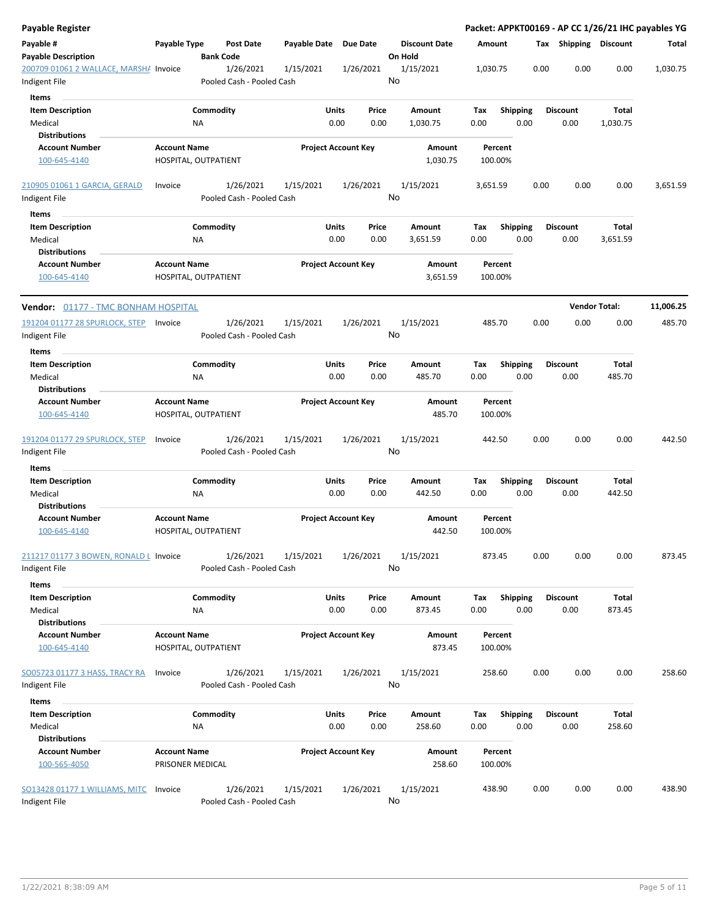| <b>Payable Register</b>                                 |                                             |                                        |                       |                                |                                 |                    |                         |      |                         |                      | Packet: APPKT00169 - AP CC 1/26/21 IHC payables YG |
|---------------------------------------------------------|---------------------------------------------|----------------------------------------|-----------------------|--------------------------------|---------------------------------|--------------------|-------------------------|------|-------------------------|----------------------|----------------------------------------------------|
| Payable #<br><b>Payable Description</b>                 | Payable Type                                | <b>Post Date</b><br><b>Bank Code</b>   | Payable Date Due Date |                                | <b>Discount Date</b><br>On Hold | Amount             |                         |      | Tax Shipping Discount   |                      | Total                                              |
| 200709 01061 2 WALLACE, MARSHA Invoice<br>Indigent File |                                             | 1/26/2021<br>Pooled Cash - Pooled Cash | 1/15/2021             | 1/26/2021                      | 1/15/2021<br>No                 | 1,030.75           |                         | 0.00 | 0.00                    | 0.00                 | 1,030.75                                           |
| Items                                                   |                                             |                                        |                       |                                |                                 |                    |                         |      |                         |                      |                                                    |
| <b>Item Description</b><br>Medical                      | ΝA                                          | Commodity                              |                       | Units<br>Price<br>0.00<br>0.00 | Amount<br>1,030.75              | Tax<br>0.00        | <b>Shipping</b><br>0.00 |      | <b>Discount</b><br>0.00 | Total<br>1,030.75    |                                                    |
| <b>Distributions</b>                                    |                                             |                                        |                       |                                |                                 |                    |                         |      |                         |                      |                                                    |
| <b>Account Number</b>                                   | <b>Account Name</b>                         |                                        |                       | <b>Project Account Key</b>     | Amount                          | Percent            |                         |      |                         |                      |                                                    |
| 100-645-4140                                            | HOSPITAL, OUTPATIENT                        |                                        |                       |                                | 1,030.75                        | 100.00%            |                         |      |                         |                      |                                                    |
| 210905 01061 1 GARCIA, GERALD                           | Invoice                                     | 1/26/2021                              | 1/15/2021             | 1/26/2021                      | 1/15/2021                       | 3,651.59           |                         | 0.00 | 0.00                    | 0.00                 | 3,651.59                                           |
| Indigent File                                           |                                             | Pooled Cash - Pooled Cash              |                       |                                | No                              |                    |                         |      |                         |                      |                                                    |
| Items                                                   |                                             |                                        |                       |                                |                                 |                    |                         |      |                         |                      |                                                    |
| <b>Item Description</b>                                 |                                             | Commodity                              |                       | Units<br>Price                 | Amount                          | Tax                | <b>Shipping</b>         |      | <b>Discount</b>         | Total                |                                                    |
| Medical                                                 | ΝA                                          |                                        |                       | 0.00<br>0.00                   | 3,651.59                        | 0.00               | 0.00                    |      | 0.00                    | 3,651.59             |                                                    |
| <b>Distributions</b>                                    |                                             |                                        |                       |                                |                                 |                    |                         |      |                         |                      |                                                    |
| <b>Account Number</b>                                   | <b>Account Name</b>                         |                                        |                       | <b>Project Account Key</b>     | <b>Amount</b>                   | Percent            |                         |      |                         |                      |                                                    |
| 100-645-4140                                            | HOSPITAL, OUTPATIENT                        |                                        |                       |                                | 3,651.59                        | 100.00%            |                         |      |                         |                      |                                                    |
| Vendor: 01177 - TMC BONHAM HOSPITAL                     |                                             |                                        |                       |                                |                                 |                    |                         |      |                         | <b>Vendor Total:</b> | 11,006.25                                          |
| 191204 01177 28 SPURLOCK, STEP Invoice                  |                                             | 1/26/2021                              | 1/15/2021             | 1/26/2021                      | 1/15/2021                       | 485.70             |                         | 0.00 | 0.00                    | 0.00                 | 485.70                                             |
| Indigent File<br>Items                                  |                                             | Pooled Cash - Pooled Cash              |                       |                                | No                              |                    |                         |      |                         |                      |                                                    |
| <b>Item Description</b>                                 |                                             | Commodity                              |                       | Units<br>Price                 | Amount                          | Tax                | <b>Shipping</b>         |      | <b>Discount</b>         | Total                |                                                    |
| Medical                                                 | <b>NA</b>                                   |                                        |                       | 0.00<br>0.00                   | 485.70                          | 0.00               | 0.00                    |      | 0.00                    | 485.70               |                                                    |
| <b>Distributions</b>                                    |                                             |                                        |                       |                                |                                 |                    |                         |      |                         |                      |                                                    |
| <b>Account Number</b><br>100-645-4140                   | <b>Account Name</b><br>HOSPITAL, OUTPATIENT |                                        |                       | <b>Project Account Key</b>     | Amount<br>485.70                | Percent<br>100.00% |                         |      |                         |                      |                                                    |
| 191204 01177 29 SPURLOCK, STEP<br>Indigent File         | Invoice                                     | 1/26/2021<br>Pooled Cash - Pooled Cash | 1/15/2021             | 1/26/2021                      | 1/15/2021<br>No                 | 442.50             |                         | 0.00 | 0.00                    | 0.00                 | 442.50                                             |
|                                                         |                                             |                                        |                       |                                |                                 |                    |                         |      |                         |                      |                                                    |
| Items                                                   |                                             |                                        |                       |                                |                                 |                    |                         |      |                         |                      |                                                    |
| <b>Item Description</b>                                 |                                             | Commodity                              |                       | Units<br>Price                 | Amount                          | Tax                | <b>Shipping</b>         |      | Discount                | Total                |                                                    |
| Medical                                                 | ΝA                                          |                                        |                       | 0.00<br>0.00                   | 442.50                          | 0.00               | 0.00                    |      | 0.00                    | 442.50               |                                                    |
| <b>Distributions</b>                                    |                                             |                                        |                       |                                |                                 |                    |                         |      |                         |                      |                                                    |
| <b>Account Number</b><br>100-645-4140                   | <b>Account Name</b><br>HOSPITAL, OUTPATIENT |                                        |                       | <b>Project Account Key</b>     | Amount<br>442.50                | Percent<br>100.00% |                         |      |                         |                      |                                                    |
| 211217 01177 3 BOWEN, RONALD L Invoice<br>Indigent File |                                             | 1/26/2021<br>Pooled Cash - Pooled Cash | 1/15/2021             | 1/26/2021                      | 1/15/2021<br>No                 | 873.45             |                         | 0.00 | 0.00                    | 0.00                 | 873.45                                             |
| Items                                                   |                                             |                                        |                       |                                |                                 |                    |                         |      |                         |                      |                                                    |
| <b>Item Description</b><br>Medical                      | ΝA                                          | Commodity                              |                       | Units<br>Price<br>0.00<br>0.00 | Amount<br>873.45                | Tax<br>0.00        | <b>Shipping</b><br>0.00 |      | <b>Discount</b><br>0.00 | Total<br>873.45      |                                                    |
| <b>Distributions</b>                                    |                                             |                                        |                       |                                |                                 |                    |                         |      |                         |                      |                                                    |
| <b>Account Number</b><br>100-645-4140                   | <b>Account Name</b><br>HOSPITAL, OUTPATIENT |                                        |                       | <b>Project Account Key</b>     | Amount<br>873.45                | Percent<br>100.00% |                         |      |                         |                      |                                                    |
| SO05723 01177 3 HASS, TRACY RA<br>Indigent File         | Invoice                                     | 1/26/2021<br>Pooled Cash - Pooled Cash | 1/15/2021             | 1/26/2021                      | 1/15/2021<br>No                 | 258.60             |                         | 0.00 | 0.00                    | 0.00                 | 258.60                                             |
| Items                                                   |                                             |                                        |                       |                                |                                 |                    |                         |      |                         |                      |                                                    |
| <b>Item Description</b>                                 |                                             | Commodity                              |                       | Units<br>Price                 | Amount                          | Tax                | <b>Shipping</b>         |      | <b>Discount</b>         | Total                |                                                    |
| Medical<br><b>Distributions</b>                         | ΝA                                          |                                        |                       | 0.00<br>0.00                   | 258.60                          | 0.00               | 0.00                    |      | 0.00                    | 258.60               |                                                    |
| <b>Account Number</b>                                   | <b>Account Name</b>                         |                                        |                       | <b>Project Account Key</b>     | Amount                          | Percent            |                         |      |                         |                      |                                                    |
| 100-565-4050                                            | PRISONER MEDICAL                            |                                        |                       |                                | 258.60                          | 100.00%            |                         |      |                         |                      |                                                    |
| SO13428 01177 1 WILLIAMS, MITC<br>Indigent File         | Invoice                                     | 1/26/2021<br>Pooled Cash - Pooled Cash | 1/15/2021             | 1/26/2021                      | 1/15/2021<br>No                 | 438.90             |                         | 0.00 | 0.00                    | 0.00                 | 438.90                                             |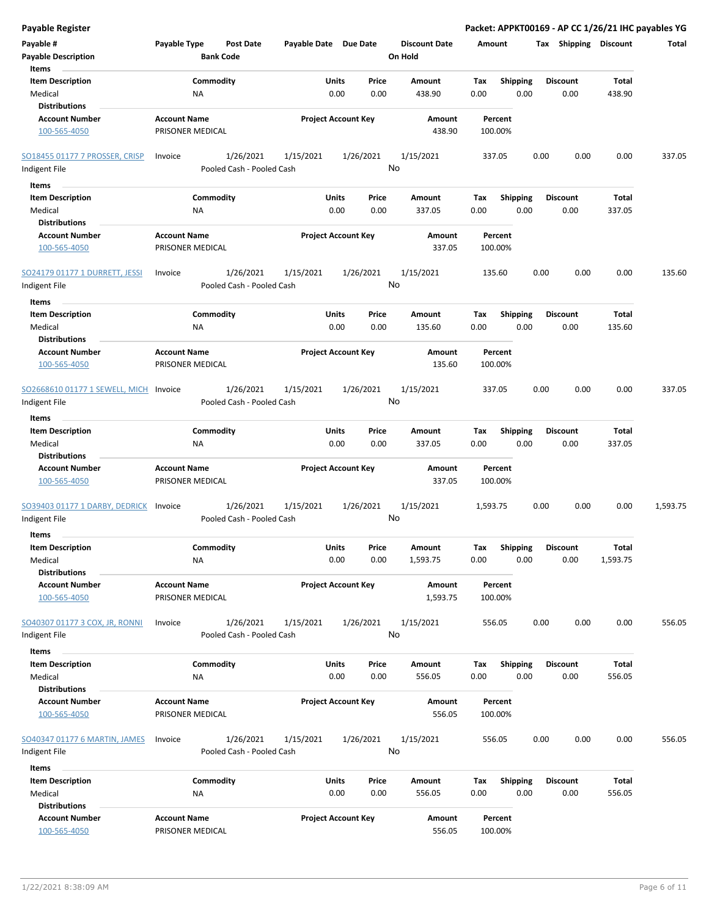| <b>Payable Register</b>                               |                                         |                                        |                            |               |                 |                                 |             |                         |      |                         | Packet: APPKT00169 - AP CC 1/26/21 IHC payables YG |          |
|-------------------------------------------------------|-----------------------------------------|----------------------------------------|----------------------------|---------------|-----------------|---------------------------------|-------------|-------------------------|------|-------------------------|----------------------------------------------------|----------|
| Payable #<br><b>Payable Description</b>               | Payable Type                            | <b>Post Date</b><br><b>Bank Code</b>   | Payable Date Due Date      |               |                 | <b>Discount Date</b><br>On Hold | Amount      |                         |      | Tax Shipping Discount   |                                                    | Total    |
| Items<br><b>Item Description</b>                      |                                         | Commodity                              |                            | Units         | Price           | Amount                          | Tax         | Shipping                |      | <b>Discount</b>         | Total                                              |          |
| Medical                                               | <b>NA</b>                               |                                        |                            | 0.00          | 0.00            | 438.90                          | 0.00        | 0.00                    |      | 0.00                    | 438.90                                             |          |
| <b>Distributions</b>                                  |                                         |                                        |                            |               |                 |                                 |             |                         |      |                         |                                                    |          |
| <b>Account Number</b>                                 | <b>Account Name</b>                     |                                        | <b>Project Account Key</b> |               |                 | Amount                          |             | Percent                 |      |                         |                                                    |          |
| 100-565-4050                                          | PRISONER MEDICAL                        |                                        |                            |               |                 | 438.90                          | 100.00%     |                         |      |                         |                                                    |          |
| SO18455 01177 7 PROSSER, CRISP                        | Invoice                                 | 1/26/2021                              | 1/15/2021                  |               | 1/26/2021       | 1/15/2021                       | 337.05      |                         | 0.00 | 0.00                    | 0.00                                               | 337.05   |
| Indigent File                                         |                                         | Pooled Cash - Pooled Cash              |                            |               | No              |                                 |             |                         |      |                         |                                                    |          |
| Items                                                 |                                         |                                        |                            |               |                 |                                 |             |                         |      |                         |                                                    |          |
| <b>Item Description</b>                               |                                         | Commodity                              |                            | Units         | Price           | Amount                          | Tax         | <b>Shipping</b>         |      | <b>Discount</b>         | Total                                              |          |
| Medical                                               | NA                                      |                                        |                            | 0.00          | 0.00            | 337.05                          | 0.00        | 0.00                    |      | 0.00                    | 337.05                                             |          |
| <b>Distributions</b>                                  |                                         |                                        |                            |               |                 |                                 |             |                         |      |                         |                                                    |          |
| <b>Account Number</b>                                 | <b>Account Name</b>                     |                                        | <b>Project Account Key</b> |               |                 | Amount                          |             | Percent                 |      |                         |                                                    |          |
| 100-565-4050                                          | PRISONER MEDICAL                        |                                        |                            |               |                 | 337.05                          | 100.00%     |                         |      |                         |                                                    |          |
| SO24179 01177 1 DURRETT, JESSI                        | Invoice                                 | 1/26/2021                              | 1/15/2021                  |               | 1/26/2021       | 1/15/2021                       | 135.60      |                         | 0.00 | 0.00                    | 0.00                                               | 135.60   |
| Indigent File                                         |                                         | Pooled Cash - Pooled Cash              |                            |               | No              |                                 |             |                         |      |                         |                                                    |          |
| Items                                                 |                                         |                                        |                            |               |                 |                                 |             |                         |      |                         |                                                    |          |
| <b>Item Description</b><br>Medical                    | <b>NA</b>                               | Commodity                              |                            | Units<br>0.00 | Price<br>0.00   | Amount<br>135.60                | Tax<br>0.00 | <b>Shipping</b><br>0.00 |      | <b>Discount</b><br>0.00 | Total<br>135.60                                    |          |
| <b>Distributions</b>                                  |                                         |                                        |                            |               |                 |                                 |             |                         |      |                         |                                                    |          |
| <b>Account Number</b><br>100-565-4050                 | <b>Account Name</b><br>PRISONER MEDICAL |                                        | <b>Project Account Key</b> |               |                 | Amount<br>135.60                | 100.00%     | Percent                 |      |                         |                                                    |          |
| SO2668610 01177 1 SEWELL, MICH Invoice                |                                         | 1/26/2021                              | 1/15/2021                  |               | 1/26/2021       | 1/15/2021                       | 337.05      |                         | 0.00 | 0.00                    | 0.00                                               | 337.05   |
| Indigent File                                         |                                         | Pooled Cash - Pooled Cash              |                            |               | No              |                                 |             |                         |      |                         |                                                    |          |
| Items                                                 |                                         |                                        |                            |               |                 |                                 |             |                         |      |                         |                                                    |          |
| <b>Item Description</b>                               |                                         | Commodity                              |                            | Units         | Price           | Amount                          | Tax         | <b>Shipping</b>         |      | <b>Discount</b>         | Total                                              |          |
| Medical                                               | NA                                      |                                        |                            | 0.00          | 0.00            | 337.05                          | 0.00        | 0.00                    |      | 0.00                    | 337.05                                             |          |
| <b>Distributions</b>                                  |                                         |                                        |                            |               |                 |                                 |             |                         |      |                         |                                                    |          |
| <b>Account Number</b><br>100-565-4050                 | <b>Account Name</b><br>PRISONER MEDICAL |                                        | <b>Project Account Key</b> |               |                 | Amount<br>337.05                | 100.00%     | Percent                 |      |                         |                                                    |          |
| <b>SO39403 01177 1 DARBY, DEDRICK</b>                 | Invoice                                 | 1/26/2021                              | 1/15/2021                  |               | 1/26/2021       | 1/15/2021                       | 1,593.75    |                         | 0.00 | 0.00                    | 0.00                                               | 1,593.75 |
| Indigent File                                         |                                         | Pooled Cash - Pooled Cash              |                            |               | No              |                                 |             |                         |      |                         |                                                    |          |
| Items                                                 |                                         |                                        |                            |               |                 |                                 |             |                         |      |                         |                                                    |          |
| <b>Item Description</b>                               |                                         | Commodity                              |                            | Units         | Price           | Amount                          | Tax         | Shipping                |      | <b>Discount</b>         | <b>Total</b>                                       |          |
| Medical                                               | NA                                      |                                        |                            | 0.00          | 0.00            | 1,593.75                        | 0.00        | 0.00                    |      | 0.00                    | 1,593.75                                           |          |
| <b>Distributions</b>                                  |                                         |                                        |                            |               |                 |                                 |             |                         |      |                         |                                                    |          |
| <b>Account Number</b>                                 | <b>Account Name</b>                     |                                        | <b>Project Account Key</b> |               |                 | Amount                          |             | Percent                 |      |                         |                                                    |          |
| 100-565-4050                                          | PRISONER MEDICAL                        |                                        |                            |               |                 | 1,593.75                        | 100.00%     |                         |      |                         |                                                    |          |
| SO40307 01177 3 COX, JR, RONNI                        | Invoice                                 | 1/26/2021                              | 1/15/2021                  |               | 1/26/2021       | 1/15/2021                       | 556.05      |                         | 0.00 | 0.00                    | 0.00                                               | 556.05   |
| Indigent File                                         |                                         | Pooled Cash - Pooled Cash              |                            |               | No              |                                 |             |                         |      |                         |                                                    |          |
|                                                       |                                         |                                        |                            |               |                 |                                 |             |                         |      |                         |                                                    |          |
| Items                                                 |                                         |                                        |                            |               |                 |                                 |             |                         |      |                         |                                                    |          |
| <b>Item Description</b>                               |                                         | Commodity                              |                            | Units         | Price           | Amount                          | Tax         | <b>Shipping</b>         |      | <b>Discount</b>         | Total                                              |          |
| Medical<br><b>Distributions</b>                       | NA                                      |                                        |                            | 0.00          | 0.00            | 556.05                          | 0.00        | 0.00                    |      | 0.00                    | 556.05                                             |          |
| <b>Account Number</b>                                 | <b>Account Name</b>                     |                                        |                            |               |                 |                                 |             | Percent                 |      |                         |                                                    |          |
| 100-565-4050                                          | PRISONER MEDICAL                        |                                        | <b>Project Account Key</b> |               |                 | Amount<br>556.05                | 100.00%     |                         |      |                         |                                                    |          |
| <b>SO40347 01177 6 MARTIN, JAMES</b><br>Indigent File | Invoice                                 | 1/26/2021<br>Pooled Cash - Pooled Cash | 1/15/2021                  |               | 1/26/2021<br>No | 1/15/2021                       | 556.05      |                         | 0.00 | 0.00                    | 0.00                                               | 556.05   |
| Items                                                 |                                         |                                        |                            |               |                 |                                 |             |                         |      |                         |                                                    |          |
| <b>Item Description</b>                               |                                         | Commodity                              |                            | Units         | Price           | Amount                          | Tax         | <b>Shipping</b>         |      | <b>Discount</b>         | Total                                              |          |
| Medical                                               | <b>NA</b>                               |                                        |                            | 0.00          | 0.00            | 556.05                          | 0.00        | 0.00                    |      | 0.00                    | 556.05                                             |          |
| <b>Distributions</b>                                  |                                         |                                        |                            |               |                 |                                 |             |                         |      |                         |                                                    |          |
| <b>Account Number</b>                                 | <b>Account Name</b>                     |                                        | <b>Project Account Key</b> |               |                 | Amount                          |             | Percent                 |      |                         |                                                    |          |
| 100-565-4050                                          | PRISONER MEDICAL                        |                                        |                            |               |                 | 556.05                          | 100.00%     |                         |      |                         |                                                    |          |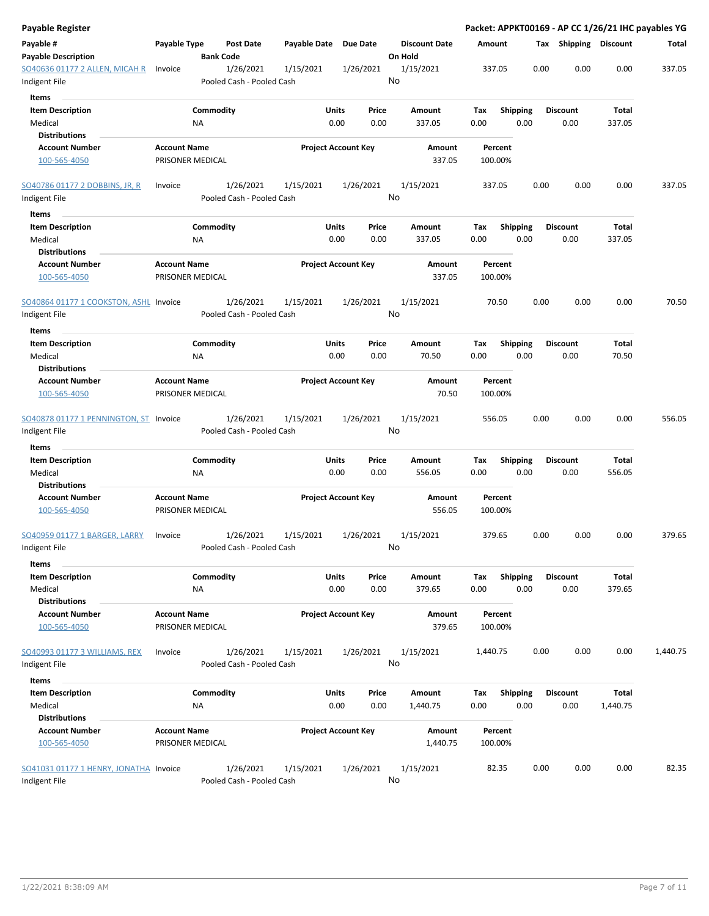| Payable Register                        |                                         |                  |                           |                       |                            |               |                                 |             |                    |      |      |                         |                   | Packet: APPKT00169 - AP CC 1/26/21 IHC payables YG |
|-----------------------------------------|-----------------------------------------|------------------|---------------------------|-----------------------|----------------------------|---------------|---------------------------------|-------------|--------------------|------|------|-------------------------|-------------------|----------------------------------------------------|
| Payable #<br><b>Payable Description</b> | Payable Type                            | <b>Bank Code</b> | <b>Post Date</b>          | Payable Date Due Date |                            |               | <b>Discount Date</b><br>On Hold | Amount      |                    |      |      | Tax Shipping Discount   |                   | Total                                              |
| SO40636 01177 2 ALLEN, MICAH R          | Invoice                                 |                  | 1/26/2021                 | 1/15/2021             |                            | 1/26/2021     | 1/15/2021                       |             | 337.05             |      | 0.00 | 0.00                    | 0.00              | 337.05                                             |
| Indigent File                           |                                         |                  | Pooled Cash - Pooled Cash |                       |                            |               | No                              |             |                    |      |      |                         |                   |                                                    |
| Items                                   |                                         |                  |                           |                       |                            |               |                                 |             |                    |      |      |                         |                   |                                                    |
| <b>Item Description</b>                 |                                         | Commodity        |                           |                       | Units                      | Price         | Amount                          | Tax         | <b>Shipping</b>    |      |      | <b>Discount</b>         | Total             |                                                    |
| Medical                                 |                                         | <b>NA</b>        |                           |                       | 0.00                       | 0.00          | 337.05                          | 0.00        |                    | 0.00 |      | 0.00                    | 337.05            |                                                    |
| <b>Distributions</b>                    |                                         |                  |                           |                       |                            |               |                                 |             |                    |      |      |                         |                   |                                                    |
| <b>Account Number</b>                   | <b>Account Name</b>                     |                  |                           |                       | <b>Project Account Key</b> |               | Amount                          |             | Percent            |      |      |                         |                   |                                                    |
| 100-565-4050                            | PRISONER MEDICAL                        |                  |                           |                       |                            |               | 337.05                          |             | 100.00%            |      |      |                         |                   |                                                    |
| SO40786 01177 2 DOBBINS, JR, R          | Invoice                                 |                  | 1/26/2021                 | 1/15/2021             |                            | 1/26/2021     | 1/15/2021                       |             | 337.05             |      | 0.00 | 0.00                    | 0.00              | 337.05                                             |
| Indigent File                           |                                         |                  | Pooled Cash - Pooled Cash |                       |                            |               | No                              |             |                    |      |      |                         |                   |                                                    |
| Items                                   |                                         |                  |                           |                       |                            |               |                                 |             |                    |      |      | <b>Discount</b>         |                   |                                                    |
| <b>Item Description</b>                 |                                         | Commodity        |                           |                       | Units                      | Price         | Amount                          | Tax         | <b>Shipping</b>    |      |      |                         | Total             |                                                    |
| Medical                                 |                                         | ΝA               |                           |                       | 0.00                       | 0.00          | 337.05                          | 0.00        |                    | 0.00 |      | 0.00                    | 337.05            |                                                    |
| <b>Distributions</b>                    |                                         |                  |                           |                       |                            |               |                                 |             |                    |      |      |                         |                   |                                                    |
| <b>Account Number</b><br>100-565-4050   | <b>Account Name</b><br>PRISONER MEDICAL |                  |                           |                       | <b>Project Account Key</b> |               | Amount<br>337.05                |             | Percent<br>100.00% |      |      |                         |                   |                                                    |
| SO40864 01177 1 COOKSTON, ASHL Invoice  |                                         |                  | 1/26/2021                 | 1/15/2021             |                            | 1/26/2021     | 1/15/2021                       |             | 70.50              |      | 0.00 | 0.00                    | 0.00              | 70.50                                              |
| Indigent File                           |                                         |                  | Pooled Cash - Pooled Cash |                       |                            |               | No                              |             |                    |      |      |                         |                   |                                                    |
| Items                                   |                                         |                  |                           |                       |                            |               |                                 |             |                    |      |      |                         |                   |                                                    |
| <b>Item Description</b>                 |                                         | Commodity        |                           |                       | Units                      | Price         | Amount                          | Tax         | <b>Shipping</b>    |      |      | <b>Discount</b>         | Total             |                                                    |
| Medical                                 |                                         | ΝA               |                           |                       | 0.00                       | 0.00          | 70.50                           | 0.00        |                    | 0.00 |      | 0.00                    | 70.50             |                                                    |
| <b>Distributions</b>                    |                                         |                  |                           |                       |                            |               |                                 |             |                    |      |      |                         |                   |                                                    |
| <b>Account Number</b>                   | <b>Account Name</b>                     |                  |                           |                       | <b>Project Account Key</b> |               | Amount                          |             | Percent            |      |      |                         |                   |                                                    |
| 100-565-4050                            | PRISONER MEDICAL                        |                  |                           |                       |                            |               | 70.50                           |             | 100.00%            |      |      |                         |                   |                                                    |
| SO40878 01177 1 PENNINGTON, ST Invoice  |                                         |                  | 1/26/2021                 | 1/15/2021             |                            | 1/26/2021     | 1/15/2021                       |             | 556.05             |      | 0.00 | 0.00                    | 0.00              | 556.05                                             |
| Indigent File                           |                                         |                  | Pooled Cash - Pooled Cash |                       |                            |               | No                              |             |                    |      |      |                         |                   |                                                    |
| Items                                   |                                         |                  |                           |                       |                            |               |                                 |             |                    |      |      |                         |                   |                                                    |
| <b>Item Description</b>                 |                                         | Commodity        |                           |                       | Units                      | Price         | Amount                          | Tax         | <b>Shipping</b>    |      |      | <b>Discount</b>         | Total             |                                                    |
| Medical                                 |                                         | NA               |                           |                       | 0.00                       | 0.00          | 556.05                          | 0.00        |                    | 0.00 |      | 0.00                    | 556.05            |                                                    |
| <b>Distributions</b>                    |                                         |                  |                           |                       |                            |               |                                 |             |                    |      |      |                         |                   |                                                    |
| <b>Account Number</b><br>100-565-4050   | <b>Account Name</b><br>PRISONER MEDICAL |                  |                           |                       | <b>Project Account Key</b> |               | Amount<br>556.05                |             | Percent<br>100.00% |      |      |                         |                   |                                                    |
| SO40959 01177 1 BARGER, LARRY           | Invoice                                 |                  | 1/26/2021                 | 1/15/2021             |                            | 1/26/2021     | 1/15/2021                       |             | 379.65             |      | 0.00 | 0.00                    | 0.00              | 379.65                                             |
| Indigent File                           |                                         |                  | Pooled Cash - Pooled Cash |                       |                            |               | No                              |             |                    |      |      |                         |                   |                                                    |
| Items                                   |                                         |                  |                           |                       |                            |               |                                 |             |                    |      |      |                         |                   |                                                    |
| <b>Item Description</b>                 |                                         | Commodity        |                           |                       | <b>Units</b>               | Price         | Amount                          | Tax         | <b>Shipping</b>    |      |      | <b>Discount</b>         | <b>Total</b>      |                                                    |
| Medical                                 |                                         | <b>NA</b>        |                           |                       | 0.00                       | 0.00          | 379.65                          | 0.00        |                    | 0.00 |      | 0.00                    | 379.65            |                                                    |
| <b>Distributions</b>                    |                                         |                  |                           |                       |                            |               |                                 |             |                    |      |      |                         |                   |                                                    |
| <b>Account Number</b><br>100-565-4050   | <b>Account Name</b><br>PRISONER MEDICAL |                  |                           |                       | <b>Project Account Key</b> |               | Amount<br>379.65                |             | Percent<br>100.00% |      |      |                         |                   |                                                    |
| SO40993 01177 3 WILLIAMS, REX           | Invoice                                 |                  | 1/26/2021                 | 1/15/2021             |                            | 1/26/2021     | 1/15/2021                       | 1,440.75    |                    |      | 0.00 | 0.00                    | 0.00              | 1,440.75                                           |
| Indigent File                           |                                         |                  | Pooled Cash - Pooled Cash |                       |                            |               | No                              |             |                    |      |      |                         |                   |                                                    |
|                                         |                                         |                  |                           |                       |                            |               |                                 |             |                    |      |      |                         |                   |                                                    |
| Items                                   |                                         |                  |                           |                       |                            |               |                                 |             |                    |      |      |                         |                   |                                                    |
| <b>Item Description</b><br>Medical      |                                         | Commodity<br>NA  |                           |                       | Units<br>0.00              | Price<br>0.00 | Amount<br>1,440.75              | Tax<br>0.00 | <b>Shipping</b>    | 0.00 |      | <b>Discount</b><br>0.00 | Total<br>1,440.75 |                                                    |
| <b>Distributions</b>                    |                                         |                  |                           |                       |                            |               |                                 |             |                    |      |      |                         |                   |                                                    |
| <b>Account Number</b>                   | <b>Account Name</b>                     |                  |                           |                       | <b>Project Account Key</b> |               | Amount                          |             | Percent            |      |      |                         |                   |                                                    |
| 100-565-4050                            | PRISONER MEDICAL                        |                  |                           |                       |                            |               | 1,440.75                        |             | 100.00%            |      |      |                         |                   |                                                    |
| SO41031 01177 1 HENRY, JONATHA Invoice  |                                         |                  | 1/26/2021                 | 1/15/2021             |                            | 1/26/2021     | 1/15/2021                       |             | 82.35              |      | 0.00 | 0.00                    | 0.00              | 82.35                                              |
| Indigent File                           |                                         |                  | Pooled Cash - Pooled Cash |                       |                            |               | No                              |             |                    |      |      |                         |                   |                                                    |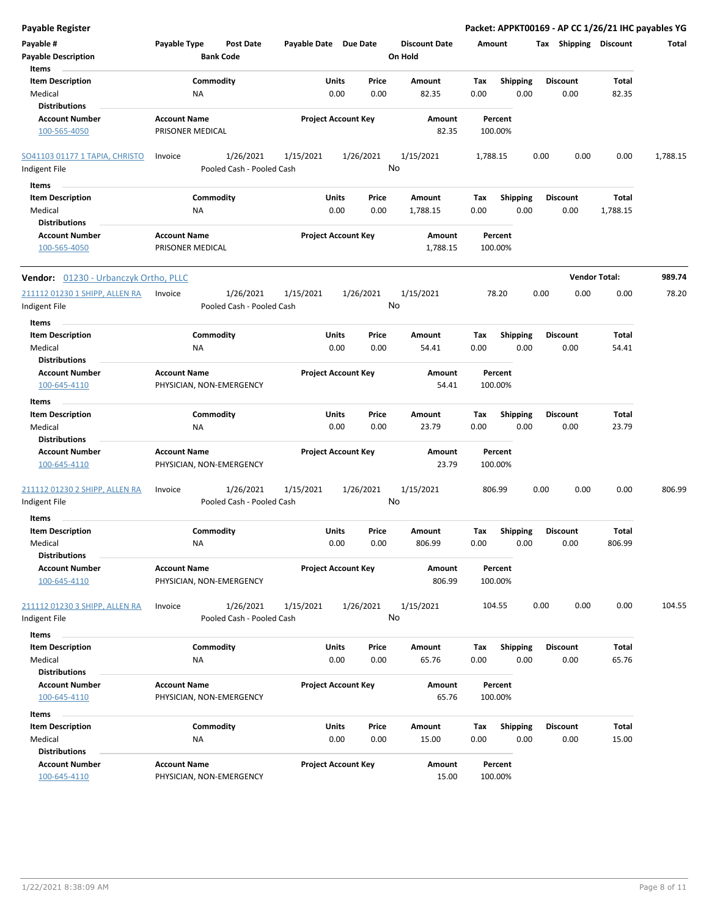| <b>Payable Register</b>                         |                                         |                                        |                       |                            |         |                      |          |                    |      |                       | Packet: APPKT00169 - AP CC 1/26/21 IHC payables YG |          |
|-------------------------------------------------|-----------------------------------------|----------------------------------------|-----------------------|----------------------------|---------|----------------------|----------|--------------------|------|-----------------------|----------------------------------------------------|----------|
| Payable #                                       | Payable Type                            | <b>Post Date</b>                       | Payable Date Due Date |                            |         | <b>Discount Date</b> | Amount   |                    |      | Tax Shipping Discount |                                                    | Total    |
| <b>Payable Description</b>                      |                                         | <b>Bank Code</b>                       |                       |                            | On Hold |                      |          |                    |      |                       |                                                    |          |
| Items                                           |                                         |                                        |                       |                            |         |                      |          |                    |      |                       |                                                    |          |
| <b>Item Description</b>                         | Commodity                               |                                        |                       | Units<br>Price             |         | Amount               | Tax      | <b>Shipping</b>    |      | <b>Discount</b>       | Total                                              |          |
| Medical                                         | <b>NA</b>                               |                                        |                       | 0.00<br>0.00               |         | 82.35                | 0.00     | 0.00               |      | 0.00                  | 82.35                                              |          |
| <b>Distributions</b>                            |                                         |                                        |                       |                            |         |                      |          |                    |      |                       |                                                    |          |
| <b>Account Number</b>                           | <b>Account Name</b>                     |                                        |                       | <b>Project Account Key</b> |         | Amount               |          | Percent            |      |                       |                                                    |          |
| 100-565-4050                                    | PRISONER MEDICAL                        |                                        |                       |                            |         | 82.35                |          | 100.00%            |      |                       |                                                    |          |
| SO41103 01177 1 TAPIA, CHRISTO                  | Invoice                                 | 1/26/2021                              | 1/15/2021             | 1/26/2021                  |         | 1/15/2021            | 1,788.15 |                    | 0.00 | 0.00                  | 0.00                                               | 1,788.15 |
| Indigent File                                   |                                         | Pooled Cash - Pooled Cash              |                       |                            | No      |                      |          |                    |      |                       |                                                    |          |
| Items                                           |                                         |                                        |                       |                            |         |                      |          |                    |      |                       |                                                    |          |
| <b>Item Description</b>                         | Commodity                               |                                        |                       | Units<br>Price             |         | Amount               | Tax      | <b>Shipping</b>    |      | <b>Discount</b>       | Total                                              |          |
| Medical                                         | ΝA                                      |                                        |                       | 0.00<br>0.00               |         | 1,788.15             | 0.00     | 0.00               |      | 0.00                  | 1,788.15                                           |          |
| <b>Distributions</b>                            |                                         |                                        |                       |                            |         |                      |          |                    |      |                       |                                                    |          |
| <b>Account Number</b><br>100-565-4050           | <b>Account Name</b><br>PRISONER MEDICAL |                                        |                       | <b>Project Account Key</b> |         | Amount<br>1,788.15   |          | Percent<br>100.00% |      |                       |                                                    |          |
|                                                 |                                         |                                        |                       |                            |         |                      |          |                    |      |                       |                                                    |          |
| Vendor: 01230 - Urbanczyk Ortho, PLLC           |                                         |                                        |                       |                            |         |                      |          |                    |      | 0.00                  | <b>Vendor Total:</b>                               | 989.74   |
| 211112 01230 1 SHIPP, ALLEN RA<br>Indigent File | Invoice                                 | 1/26/2021<br>Pooled Cash - Pooled Cash | 1/15/2021             | 1/26/2021                  | No      | 1/15/2021            |          | 78.20              | 0.00 |                       | 0.00                                               | 78.20    |
| Items                                           |                                         |                                        |                       |                            |         |                      |          |                    |      |                       |                                                    |          |
| <b>Item Description</b>                         | Commodity                               |                                        |                       | Units<br>Price             |         | Amount               | Tax      | <b>Shipping</b>    |      | <b>Discount</b>       | Total                                              |          |
| Medical<br><b>Distributions</b>                 | NA                                      |                                        |                       | 0.00<br>0.00               |         | 54.41                | 0.00     | 0.00               |      | 0.00                  | 54.41                                              |          |
| <b>Account Number</b>                           | <b>Account Name</b>                     |                                        |                       | <b>Project Account Key</b> |         | Amount               |          | Percent            |      |                       |                                                    |          |
| 100-645-4110                                    | PHYSICIAN, NON-EMERGENCY                |                                        |                       |                            |         | 54.41                |          | 100.00%            |      |                       |                                                    |          |
| Items                                           |                                         |                                        |                       |                            |         |                      |          |                    |      |                       |                                                    |          |
| <b>Item Description</b>                         | Commodity                               |                                        |                       | Units<br>Price             |         | Amount               | Tax      | <b>Shipping</b>    |      | <b>Discount</b>       | Total                                              |          |
| Medical<br><b>Distributions</b>                 | <b>NA</b>                               |                                        |                       | 0.00<br>0.00               |         | 23.79                | 0.00     | 0.00               |      | 0.00                  | 23.79                                              |          |
| <b>Account Number</b>                           | <b>Account Name</b>                     |                                        |                       | <b>Project Account Key</b> |         | Amount               |          | Percent            |      |                       |                                                    |          |
| 100-645-4110                                    | PHYSICIAN, NON-EMERGENCY                |                                        |                       |                            |         | 23.79                |          | 100.00%            |      |                       |                                                    |          |
| 211112 01230 2 SHIPP, ALLEN RA<br>Indigent File | Invoice                                 | 1/26/2021<br>Pooled Cash - Pooled Cash | 1/15/2021             | 1/26/2021                  | No      | 1/15/2021            |          | 806.99             | 0.00 | 0.00                  | 0.00                                               | 806.99   |
| <b>Items</b>                                    |                                         |                                        |                       |                            |         |                      |          |                    |      |                       |                                                    |          |
| <b>Item Description</b>                         | Commodity                               |                                        |                       | Units<br>Price             |         | Amount               | Тах      | <b>Shipping</b>    |      | <b>Discount</b>       | Total                                              |          |
| Medical<br><b>Distributions</b>                 | ΝA                                      |                                        |                       | 0.00<br>0.00               |         | 806.99               | 0.00     | 0.00               |      | 0.00                  | 806.99                                             |          |
| <b>Account Number</b>                           | <b>Account Name</b>                     |                                        |                       | <b>Project Account Key</b> |         | Amount               |          | Percent            |      |                       |                                                    |          |
| 100-645-4110                                    | PHYSICIAN, NON-EMERGENCY                |                                        |                       |                            |         | 806.99               |          | 100.00%            |      |                       |                                                    |          |
| 211112 01230 3 SHIPP, ALLEN RA                  | Invoice                                 | 1/26/2021                              | 1/15/2021             | 1/26/2021                  |         | 1/15/2021            |          | 104.55             | 0.00 | 0.00                  | 0.00                                               | 104.55   |
| Indigent File                                   |                                         | Pooled Cash - Pooled Cash              |                       |                            | No      |                      |          |                    |      |                       |                                                    |          |
| Items                                           |                                         |                                        |                       |                            |         |                      |          |                    |      |                       |                                                    |          |
| <b>Item Description</b>                         | Commodity                               |                                        |                       | Units<br>Price             |         | Amount               | Tax      | Shipping           |      | <b>Discount</b>       | Total                                              |          |
| Medical                                         | NA                                      |                                        |                       | 0.00<br>0.00               |         | 65.76                | 0.00     | 0.00               |      | 0.00                  | 65.76                                              |          |
| <b>Distributions</b>                            |                                         |                                        |                       |                            |         |                      |          |                    |      |                       |                                                    |          |
| <b>Account Number</b>                           | <b>Account Name</b>                     |                                        |                       | <b>Project Account Key</b> |         | Amount               |          | Percent            |      |                       |                                                    |          |
| 100-645-4110                                    | PHYSICIAN, NON-EMERGENCY                |                                        |                       |                            |         | 65.76                |          | 100.00%            |      |                       |                                                    |          |
| Items                                           |                                         |                                        |                       |                            |         |                      |          |                    |      |                       |                                                    |          |
| <b>Item Description</b>                         | Commodity                               |                                        |                       | Units<br>Price             |         | Amount               | Tax      | <b>Shipping</b>    |      | <b>Discount</b>       | Total                                              |          |
| Medical                                         | <b>NA</b>                               |                                        |                       | 0.00<br>0.00               |         | 15.00                | 0.00     | 0.00               |      | 0.00                  | 15.00                                              |          |
| <b>Distributions</b>                            |                                         |                                        |                       |                            |         |                      |          |                    |      |                       |                                                    |          |
| <b>Account Number</b>                           | <b>Account Name</b>                     |                                        |                       | <b>Project Account Key</b> |         | Amount               |          | Percent            |      |                       |                                                    |          |
| 100-645-4110                                    | PHYSICIAN, NON-EMERGENCY                |                                        |                       |                            |         | 15.00                |          | 100.00%            |      |                       |                                                    |          |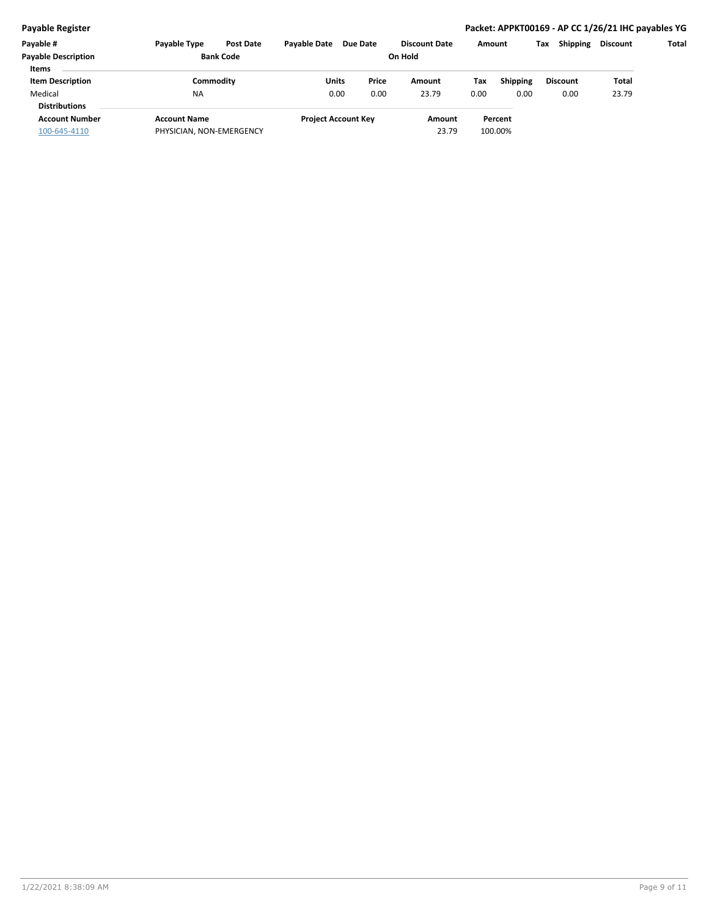## **Payable Register Packet: APPKT00169 - AP CC 1/26/21 IHC payables YG**

| Payable #                  | <b>Payable Type</b>      | <b>Post Date</b> | <b>Pavable Date</b> | <b>Due Date</b>            | <b>Discount Date</b> |       | Amount          | <b>Shipping</b><br>Tax | Discount | Total |
|----------------------------|--------------------------|------------------|---------------------|----------------------------|----------------------|-------|-----------------|------------------------|----------|-------|
| <b>Payable Description</b> |                          | <b>Bank Code</b> |                     |                            | On Hold              |       |                 |                        |          |       |
| <b>Items</b>               |                          |                  |                     |                            |                      |       |                 |                        |          |       |
| <b>Item Description</b>    | Commoditv                |                  | Units               | Price                      | Amount               | Tax   | <b>Shipping</b> | <b>Discount</b>        | Total    |       |
| Medical                    | <b>NA</b>                |                  |                     | 0.00<br>0.00               | 23.79                | 0.00  | 0.00            | 0.00                   | 23.79    |       |
| <b>Distributions</b>       |                          |                  |                     |                            |                      |       |                 |                        |          |       |
| <b>Account Number</b>      | <b>Account Name</b>      |                  |                     | <b>Project Account Key</b> | Amount               |       | Percent         |                        |          |       |
| 100-645-4110               | PHYSICIAN, NON-EMERGENCY |                  |                     |                            |                      | 23.79 | 100.00%         |                        |          |       |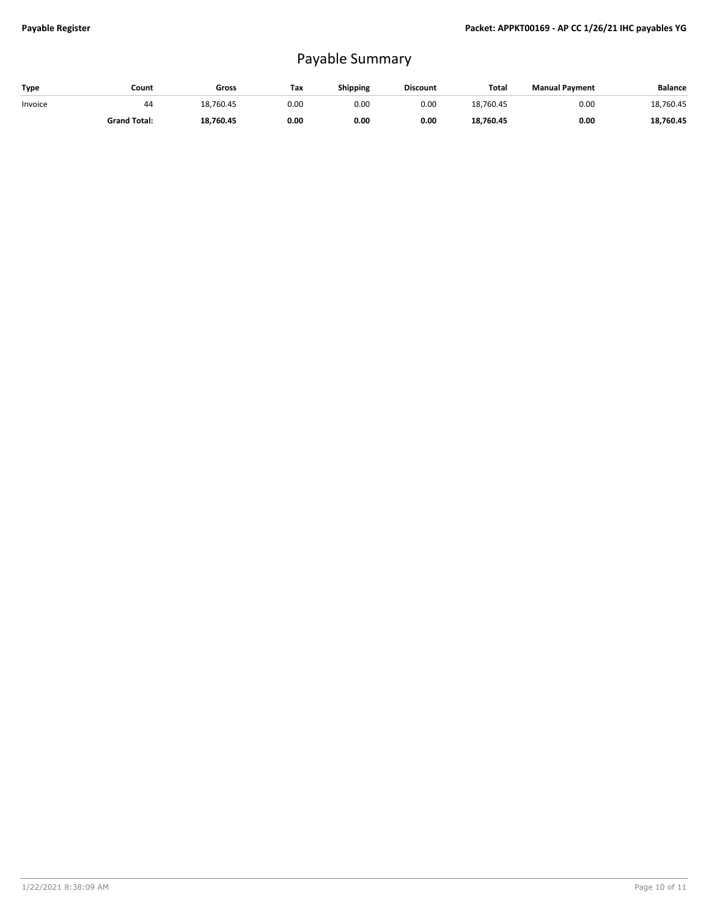## Payable Summary

| Type    | Count               | Gross     | Tax  | <b>Shipping</b> | <b>Discount</b> | <b>Tota</b> | <b>Manual Payment</b> | Balance   |
|---------|---------------------|-----------|------|-----------------|-----------------|-------------|-----------------------|-----------|
| Invoice | 44                  | 18,760.45 | 0.00 | 0.00            | 0.00            | 18.760.45   | 0.00                  | 18,760.45 |
|         | <b>Grand Total:</b> | 18,760.45 | 0.00 | 0.00            | 0.00            | 18,760.45   | 0.00                  | 18,760.45 |